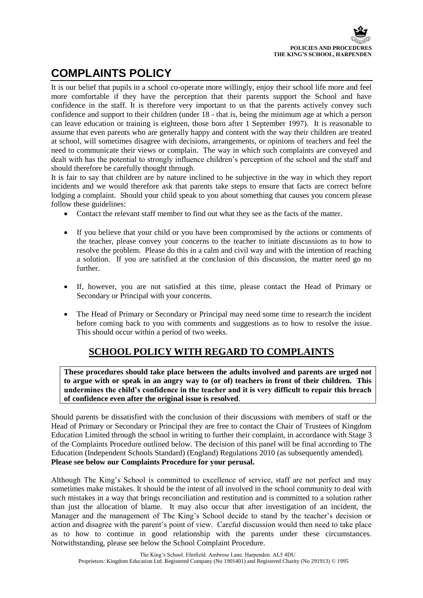# **COMPLAINTS POLICY**

It is our belief that pupils in a school co-operate more willingly, enjoy their school life more and feel more comfortable if they have the perception that their parents support the School and have confidence in the staff. It is therefore very important to us that the parents actively convey such confidence and support to their children (under 18 - that is, being the minimum age at which a person can leave education or training is eighteen, those born after 1 September 1997). It is reasonable to assume that even parents who are generally happy and content with the way their children are treated at school, will sometimes disagree with decisions, arrangements, or opinions of teachers and feel the need to communicate their views or complain. The way in which such complaints are conveyed and dealt with has the potential to strongly influence children's perception of the school and the staff and should therefore be carefully thought through.

It is fair to say that children are by nature inclined to be subjective in the way in which they report incidents and we would therefore ask that parents take steps to ensure that facts are correct before lodging a complaint. Should your child speak to you about something that causes you concern please follow these guidelines:

- Contact the relevant staff member to find out what they see as the facts of the matter.
- If you believe that your child or you have been compromised by the actions or comments of the teacher, please convey your concerns to the teacher to initiate discussions as to how to resolve the problem. Please do this in a calm and civil way and with the intention of reaching a solution. If you are satisfied at the conclusion of this discussion, the matter need go no further.
- If, however, you are not satisfied at this time, please contact the Head of Primary or Secondary or Principal with your concerns.
- The Head of Primary or Secondary or Principal may need some time to research the incident before coming back to you with comments and suggestions as to how to resolve the issue. This should occur within a period of two weeks.

## **SCHOOL POLICY WITH REGARD TO COMPLAINTS**

**These procedures should take place between the adults involved and parents are urged not to argue with or speak in an angry way to (or of) teachers in front of their children. This undermines the child's confidence in the teacher and it is very difficult to repair this breach of confidence even after the original issue is resolved**.

Should parents be dissatisfied with the conclusion of their discussions with members of staff or the Head of Primary or Secondary or Principal they are free to contact the Chair of Trustees of Kingdom Education Limited through the school in writing to further their complaint, in accordance with Stage 3 of the Complaints Procedure outlined below. The decision of this panel will be final according to The Education (Independent Schools Standard) (England) Regulations 2010 (as subsequently amended). **Please see below our Complaints Procedure for your perusal.**

Although The King's School is committed to excellence of service, staff are not perfect and may sometimes make mistakes. It should be the intent of all involved in the school community to deal with such mistakes in a way that brings reconciliation and restitution and is committed to a solution rather than just the allocation of blame. It may also occur that after investigation of an incident, the Manager and the management of The King's School decide to stand by the teacher's decision or action and disagree with the parent's point of view. Careful discussion would then need to take place as to how to continue in good relationship with the parents under these circumstances. Notwithstanding, please see below the School Complaint Procedure.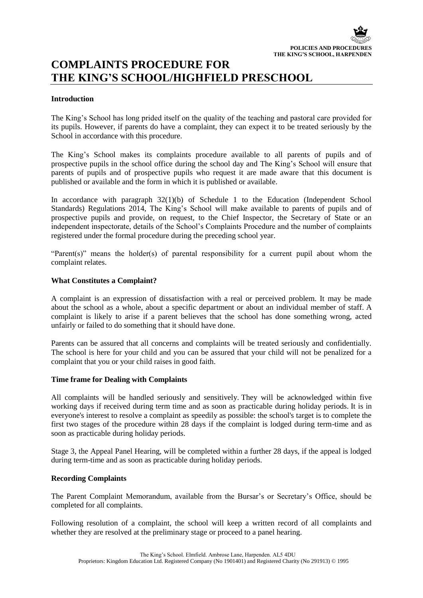

# **COMPLAINTS PROCEDURE FOR THE KING'S SCHOOL/HIGHFIELD PRESCHOOL**

#### **Introduction**

The King's School has long prided itself on the quality of the teaching and pastoral care provided for its pupils. However, if parents do have a complaint, they can expect it to be treated seriously by the School in accordance with this procedure.

The King's School makes its complaints procedure available to all parents of pupils and of prospective pupils in the school office during the school day and The King's School will ensure that parents of pupils and of prospective pupils who request it are made aware that this document is published or available and the form in which it is published or available.

In accordance with paragraph 32(1)(b) of Schedule 1 to the Education (Independent School Standards) Regulations 2014, The King's School will make available to parents of pupils and of prospective pupils and provide, on request, to the Chief Inspector, the Secretary of State or an independent inspectorate, details of the School's Complaints Procedure and the number of complaints registered under the formal procedure during the preceding school year.

"Parent(s)" means the holder(s) of parental responsibility for a current pupil about whom the complaint relates.

#### **What Constitutes a Complaint?**

A complaint is an expression of dissatisfaction with a real or perceived problem. It may be made about the school as a whole, about a specific department or about an individual member of staff. A complaint is likely to arise if a parent believes that the school has done something wrong, acted unfairly or failed to do something that it should have done.

Parents can be assured that all concerns and complaints will be treated seriously and confidentially. The school is here for your child and you can be assured that your child will not be penalized for a complaint that you or your child raises in good faith.

#### **Time frame for Dealing with Complaints**

All complaints will be handled seriously and sensitively. They will be acknowledged within five working days if received during term time and as soon as practicable during holiday periods. It is in everyone's interest to resolve a complaint as speedily as possible: the school's target is to complete the first two stages of the procedure within 28 days if the complaint is lodged during term-time and as soon as practicable during holiday periods.

Stage 3, the Appeal Panel Hearing, will be completed within a further 28 days, if the appeal is lodged during term-time and as soon as practicable during holiday periods.

#### **Recording Complaints**

The Parent Complaint Memorandum, available from the Bursar's or Secretary's Office, should be completed for all complaints.

Following resolution of a complaint, the school will keep a written record of all complaints and whether they are resolved at the preliminary stage or proceed to a panel hearing.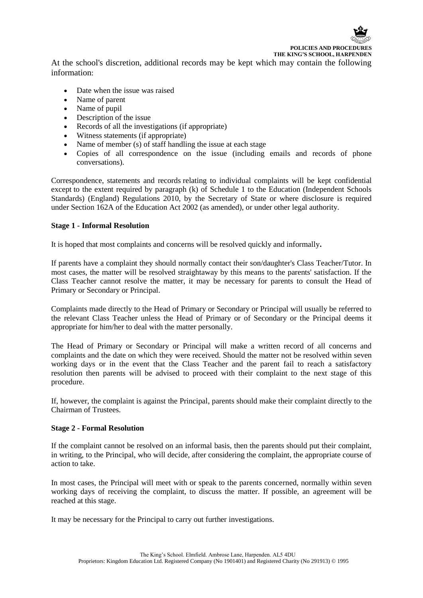

At the school's discretion, additional records may be kept which may contain the following information:

- Date when the issue was raised
- Name of parent
- Name of pupil
- Description of the issue
- Records of all the investigations (if appropriate)
- Witness statements (if appropriate)
- Name of member (s) of staff handling the issue at each stage
- Copies of all correspondence on the issue (including emails and records of phone conversations).

Correspondence, statements and records relating to individual complaints will be kept confidential except to the extent required by paragraph (k) of Schedule 1 to the Education (Independent Schools Standards) (England) Regulations 2010, by the Secretary of State or where disclosure is required under Section 162A of the Education Act 2002 (as amended), or under other legal authority.

#### **Stage 1 - Informal Resolution**

It is hoped that most complaints and concerns will be resolved quickly and informally**.** 

If parents have a complaint they should normally contact their son/daughter's Class Teacher/Tutor. In most cases, the matter will be resolved straightaway by this means to the parents' satisfaction. If the Class Teacher cannot resolve the matter, it may be necessary for parents to consult the Head of Primary or Secondary or Principal.

Complaints made directly to the Head of Primary or Secondary or Principal will usually be referred to the relevant Class Teacher unless the Head of Primary or of Secondary or the Principal deems it appropriate for him/her to deal with the matter personally.

The Head of Primary or Secondary or Principal will make a written record of all concerns and complaints and the date on which they were received. Should the matter not be resolved within seven working days or in the event that the Class Teacher and the parent fail to reach a satisfactory resolution then parents will be advised to proceed with their complaint to the next stage of this procedure.

If, however, the complaint is against the Principal, parents should make their complaint directly to the Chairman of Trustees.

#### **Stage 2 - Formal Resolution**

If the complaint cannot be resolved on an informal basis, then the parents should put their complaint, in writing, to the Principal, who will decide, after considering the complaint, the appropriate course of action to take.

In most cases, the Principal will meet with or speak to the parents concerned, normally within seven working days of receiving the complaint, to discuss the matter. If possible, an agreement will be reached at this stage.

It may be necessary for the Principal to carry out further investigations.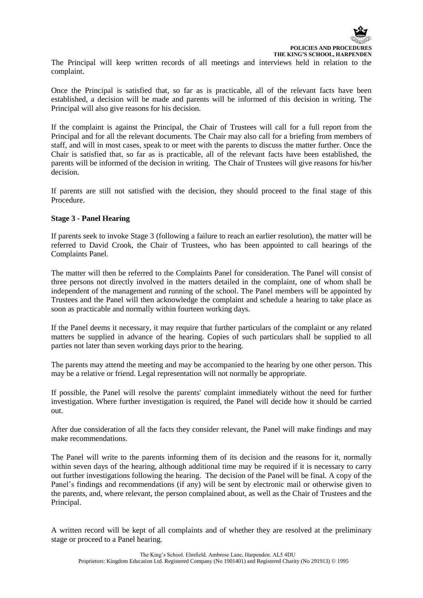The Principal will keep written records of all meetings and interviews held in relation to the complaint.

Once the Principal is satisfied that, so far as is practicable, all of the relevant facts have been established, a decision will be made and parents will be informed of this decision in writing. The Principal will also give reasons for his decision.

If the complaint is against the Principal, the Chair of Trustees will call for a full report from the Principal and for all the relevant documents. The Chair may also call for a briefing from members of staff, and will in most cases, speak to or meet with the parents to discuss the matter further. Once the Chair is satisfied that, so far as is practicable, all of the relevant facts have been established, the parents will be informed of the decision in writing. The Chair of Trustees will give reasons for his/her decision.

If parents are still not satisfied with the decision, they should proceed to the final stage of this Procedure.

#### **Stage 3 - Panel Hearing**

If parents seek to invoke Stage 3 (following a failure to reach an earlier resolution), the matter will be referred to David Crook, the Chair of Trustees, who has been appointed to call hearings of the Complaints Panel.

The matter will then be referred to the Complaints Panel for consideration. The Panel will consist of three persons not directly involved in the matters detailed in the complaint, one of whom shall be independent of the management and running of the school. The Panel members will be appointed by Trustees and the Panel will then acknowledge the complaint and schedule a hearing to take place as soon as practicable and normally within fourteen working days.

If the Panel deems it necessary, it may require that further particulars of the complaint or any related matters be supplied in advance of the hearing. Copies of such particulars shall be supplied to all parties not later than seven working days prior to the hearing.

The parents may attend the meeting and may be accompanied to the hearing by one other person. This may be a relative or friend. Legal representation will not normally be appropriate.

If possible, the Panel will resolve the parents' complaint immediately without the need for further investigation. Where further investigation is required, the Panel will decide how it should be carried out.

After due consideration of all the facts they consider relevant, the Panel will make findings and may make recommendations.

The Panel will write to the parents informing them of its decision and the reasons for it, normally within seven days of the hearing, although additional time may be required if it is necessary to carry out further investigations following the hearing. The decision of the Panel will be final. A copy of the Panel's findings and recommendations (if any) will be sent by electronic mail or otherwise given to the parents, and, where relevant, the person complained about, as well as the Chair of Trustees and the Principal.

A written record will be kept of all complaints and of whether they are resolved at the preliminary stage or proceed to a Panel hearing.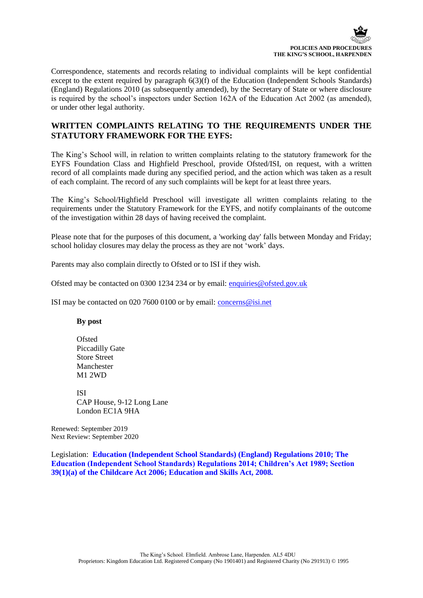

Correspondence, statements and records relating to individual complaints will be kept confidential except to the extent required by paragraph 6(3)(f) of the Education (Independent Schools Standards) (England) Regulations 2010 (as subsequently amended), by the Secretary of State or where disclosure is required by the school's inspectors under Section 162A of the Education Act 2002 (as amended), or under other legal authority.

### **WRITTEN COMPLAINTS RELATING TO THE REQUIREMENTS UNDER THE STATUTORY FRAMEWORK FOR THE EYFS:**

The King's School will, in relation to written complaints relating to the statutory framework for the EYFS Foundation Class and Highfield Preschool, provide Ofsted/ISI, on request, with a written record of all complaints made during any specified period, and the action which was taken as a result of each complaint. The record of any such complaints will be kept for at least three years.

The King's School/Highfield Preschool will investigate all written complaints relating to the requirements under the Statutory Framework for the EYFS, and notify complainants of the outcome of the investigation within 28 days of having received the complaint.

Please note that for the purposes of this document, a 'working day' falls between Monday and Friday; school holiday closures may delay the process as they are not 'work' days.

Parents may also complain directly to Ofsted or to ISI if they wish.

Ofsted may be contacted on 0300 1234 234 or by email: [enquiries@ofsted.gov.uk](mailto:enquiries@ofsted.gov.uk)

ISI may be contacted on 020 7600 0100 or by email: [concerns@isi.net](mailto:concerns@isi.net)

#### **By post**

**Ofsted** Piccadilly Gate Store Street Manchester M1 2WD

ISI CAP House, 9-12 Long Lane London EC1A 9HA

Renewed: September 2019 Next Review: September 2020

Legislation: **Education (Independent School Standards) (England) Regulations 2010; The Education (Independent School Standards) Regulations 2014; Children's Act 1989; Section 39(1)(a) of the Childcare Act 2006; Education and Skills Act, 2008.**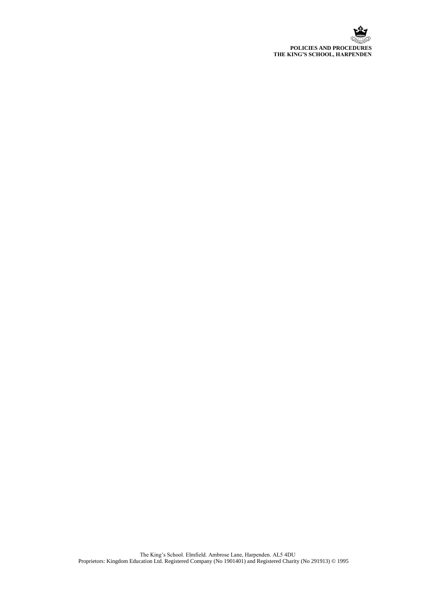